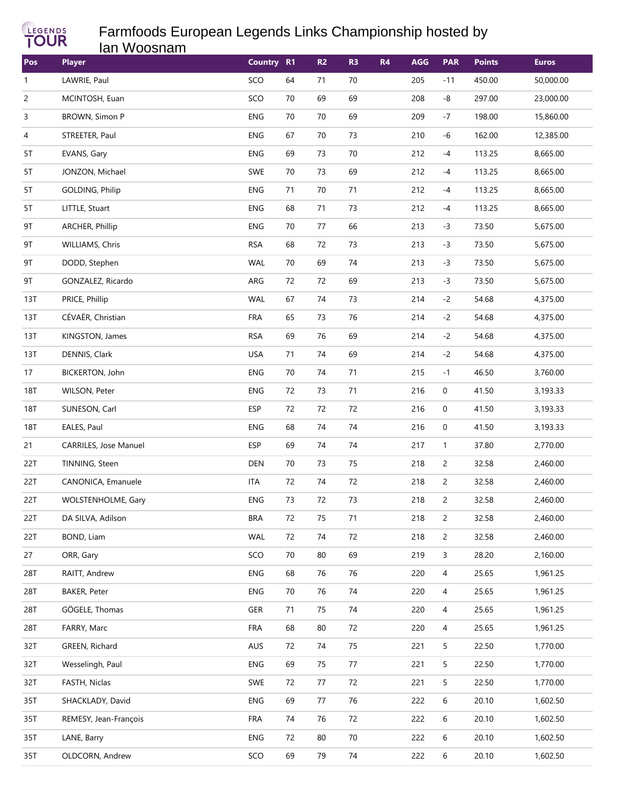

## Farmfoods European Legends Links Championship hosted by **Ian Woosnam**

| Pos            | <b>Player</b>             | Country R1 |        | R <sub>2</sub> | R <sub>3</sub> | <b>R4</b> | <b>AGG</b> | <b>PAR</b>     | <b>Points</b> | <b>Euros</b> |
|----------------|---------------------------|------------|--------|----------------|----------------|-----------|------------|----------------|---------------|--------------|
| $\mathbf{1}$   | LAWRIE, Paul              | SCO        | 64     | 71             | $70\,$         |           | 205        | $-11$          | 450.00        | 50,000.00    |
| $\overline{c}$ | MCINTOSH, Euan            | SCO        | 70     | 69             | 69             |           | 208        | -8             | 297.00        | 23,000.00    |
| 3              | BROWN, Simon P            | ENG        | 70     | 70             | 69             |           | 209        | $-7$           | 198.00        | 15,860.00    |
| 4              | STREETER, Paul            | ENG        | 67     | 70             | 73             |           | 210        | -6             | 162.00        | 12,385.00    |
| 5T             | EVANS, Gary               | ENG        | 69     | 73             | $70\,$         |           | 212        | $-4$           | 113.25        | 8,665.00     |
| 5T             | JONZON, Michael           | SWE        | 70     | 73             | 69             |           | 212        | $-4$           | 113.25        | 8,665.00     |
| 5T             | GOLDING, Philip           | ENG        | 71     | 70             | $71$           |           | 212        | $-4$           | 113.25        | 8,665.00     |
| 5T             | LITTLE, Stuart            | ENG        | 68     | 71             | 73             |           | 212        | $-4$           | 113.25        | 8,665.00     |
| 9T             | ARCHER, Phillip           | ENG        | 70     | 77             | 66             |           | 213        | $-3$           | 73.50         | 5,675.00     |
| 9T             | WILLIAMS, Chris           | <b>RSA</b> | 68     | 72             | 73             |           | 213        | $-3$           | 73.50         | 5,675.00     |
| 9T             | DODD, Stephen             | WAL        | 70     | 69             | $74$           |           | 213        | $-3$           | 73.50         | 5,675.00     |
| 9T             | GONZALEZ, Ricardo         | ARG        | 72     | 72             | 69             |           | 213        | $-3$           | 73.50         | 5,675.00     |
| 13T            | PRICE, Phillip            | WAL        | 67     | 74             | 73             |           | 214        | $-2$           | 54.68         | 4,375.00     |
| 13T            | CÉVAËR, Christian         | <b>FRA</b> | 65     | 73             | 76             |           | 214        | $-2$           | 54.68         | 4,375.00     |
| 13T            | KINGSTON, James           | <b>RSA</b> | 69     | 76             | 69             |           | 214        | $-2$           | 54.68         | 4,375.00     |
| 13T            | DENNIS, Clark             | <b>USA</b> | 71     | 74             | 69             |           | 214        | $-2$           | 54.68         | 4,375.00     |
| 17             | BICKERTON, John           | ENG        | 70     | 74             | $71$           |           | 215        | $-1$           | 46.50         | 3,760.00     |
| 18T            | WILSON, Peter             | ENG        | 72     | 73             | $71$           |           | 216        | 0              | 41.50         | 3,193.33     |
| <b>18T</b>     | SUNESON, Carl             | <b>ESP</b> | 72     | 72             | $72\,$         |           | 216        | 0              | 41.50         | 3,193.33     |
| <b>18T</b>     | EALES, Paul               | <b>ENG</b> | 68     | 74             | $74$           |           | 216        | 0              | 41.50         | 3,193.33     |
| 21             | CARRILES, Jose Manuel     | <b>ESP</b> | 69     | 74             | 74             |           | 217        | $\mathbf{1}$   | 37.80         | 2,770.00     |
| 22T            | TINNING, Steen            | DEN        | 70     | 73             | 75             |           | 218        | $\overline{c}$ | 32.58         | 2,460.00     |
| 22T            | CANONICA, Emanuele        | <b>ITA</b> | 72     | 74             | $72\,$         |           | 218        | $\overline{c}$ | 32.58         | 2,460.00     |
| 22T            | <b>WOLSTENHOLME, Gary</b> | ENG        | 73     | 72             | 73             |           | 218        | $\overline{c}$ | 32.58         | 2,460.00     |
| 22T            | DA SILVA, Adilson         | <b>BRA</b> | $72\,$ | 75             | $71$           |           | 218        | 2              | 32.58         | 2,460.00     |
| 22T            | BOND, Liam                | WAL        | 72     | 74             | $72\,$         |           | 218        | 2              | 32.58         | 2,460.00     |
| 27             | ORR, Gary                 | SCO        | 70     | 80             | 69             |           | 219        | 3              | 28.20         | 2,160.00     |
| 28T            | RAITT, Andrew             | ENG        | 68     | 76             | 76             |           | 220        | 4              | 25.65         | 1,961.25     |
| 28T            | <b>BAKER, Peter</b>       | ENG        | 70     | 76             | 74             |           | 220        | 4              | 25.65         | 1,961.25     |
| 28T            | GÖGELE, Thomas            | GER        | 71     | 75             | 74             |           | 220        | 4              | 25.65         | 1,961.25     |
| 28T            | FARRY, Marc               | <b>FRA</b> | 68     | 80             | 72             |           | 220        | 4              | 25.65         | 1,961.25     |
| 32T            | GREEN, Richard            | AUS        | 72     | 74             | 75             |           | 221        | 5              | 22.50         | 1,770.00     |
| 32T            | Wesselingh, Paul          | ENG        | 69     | 75             | 77             |           | 221        | 5              | 22.50         | 1,770.00     |
| 32T            | FASTH, Niclas             | SWE        | 72     | 77             | 72             |           | 221        | 5              | 22.50         | 1,770.00     |
| 35T            | SHACKLADY, David          | ENG        | 69     | 77             | 76             |           | 222        | 6              | 20.10         | 1,602.50     |
| 35T            | REMESY, Jean-François     | <b>FRA</b> | 74     | 76             | 72             |           | 222        | 6              | 20.10         | 1,602.50     |
| 35T            | LANE, Barry               | ENG        | 72     | 80             | $70\,$         |           | 222        | 6              | 20.10         | 1,602.50     |
| 35T            | OLDCORN, Andrew           | SCO        | 69     | 79             | $74\,$         |           | 222        | 6              | 20.10         | 1,602.50     |